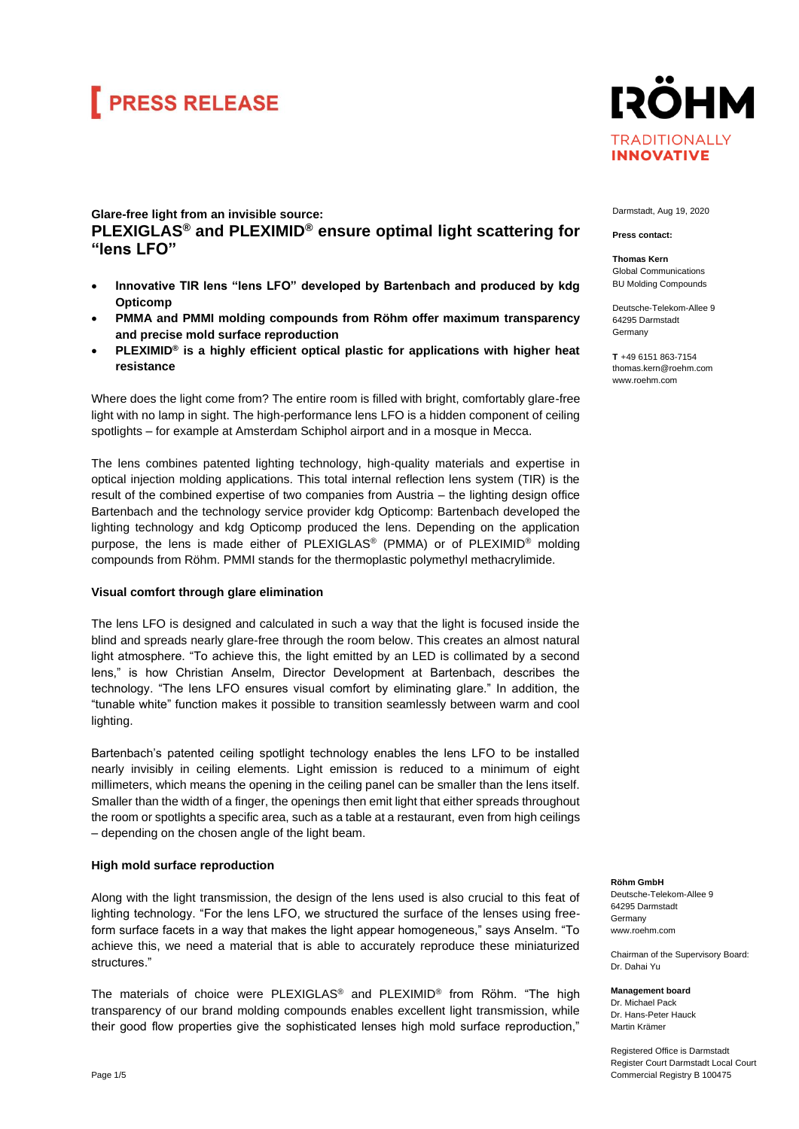## **FRESS RELEASE**

### **Glare-free light from an invisible source: PLEXIGLAS® and PLEXIMID® ensure optimal light scattering for "lens LFO"**

- **Innovative TIR lens "lens LFO" developed by Bartenbach and produced by kdg Opticomp**
- **PMMA and PMMI molding compounds from Röhm offer maximum transparency and precise mold surface reproduction**
- **PLEXIMID® is a highly efficient optical plastic for applications with higher heat resistance**

Where does the light come from? The entire room is filled with bright, comfortably glare-free light with no lamp in sight. The high-performance lens LFO is a hidden component of ceiling spotlights – for example at Amsterdam Schiphol airport and in a mosque in Mecca.

The lens combines patented lighting technology, high-quality materials and expertise in optical injection molding applications. This total internal reflection lens system (TIR) is the result of the combined expertise of two companies from Austria – the lighting design office Bartenbach and the technology service provider kdg Opticomp: Bartenbach developed the lighting technology and kdg Opticomp produced the lens. Depending on the application purpose, the lens is made either of PLEXIGLAS® (PMMA) or of PLEXIMID® molding compounds from Röhm. PMMI stands for the thermoplastic polymethyl methacrylimide.

#### **Visual comfort through glare elimination**

The lens LFO is designed and calculated in such a way that the light is focused inside the blind and spreads nearly glare-free through the room below. This creates an almost natural light atmosphere. "To achieve this, the light emitted by an LED is collimated by a second lens," is how Christian Anselm, Director Development at Bartenbach, describes the technology. "The lens LFO ensures visual comfort by eliminating glare." In addition, the "tunable white" function makes it possible to transition seamlessly between warm and cool lighting.

Bartenbach's patented ceiling spotlight technology enables the lens LFO to be installed nearly invisibly in ceiling elements. Light emission is reduced to a minimum of eight millimeters, which means the opening in the ceiling panel can be smaller than the lens itself. Smaller than the width of a finger, the openings then emit light that either spreads throughout the room or spotlights a specific area, such as a table at a restaurant, even from high ceilings – depending on the chosen angle of the light beam.

#### **High mold surface reproduction**

Along with the light transmission, the design of the lens used is also crucial to this feat of lighting technology. "For the lens LFO, we structured the surface of the lenses using freeform surface facets in a way that makes the light appear homogeneous," says Anselm. "To achieve this, we need a material that is able to accurately reproduce these miniaturized structures."

The materials of choice were PLEXIGLAS® and PLEXIMID® from Röhm. "The high transparency of our brand molding compounds enables excellent light transmission, while their good flow properties give the sophisticated lenses high mold surface reproduction,"



Darmstadt, Aug 19, 2020

**Press contact:**

**Thomas Kern** Global Communications BU Molding Compounds

Deutsche-Telekom-Allee 9 64295 Darmstadt Germany

**T** +49 6151 863-7154 thomas.kern@roehm.com www.roehm.com

**Röhm GmbH** Deutsche-Telekom-Allee 9 64295 Darmstadt Germany [www.roehm.com](http://www.roehm.com/)

Chairman of the Supervisory Board: Dr. Dahai Yu

**Management board** Dr. Michael Pack Dr. Hans-Peter Hauck Martin Krämer

Registered Office is Darmstadt Register Court Darmstadt Local Court Commercial Registry B 100475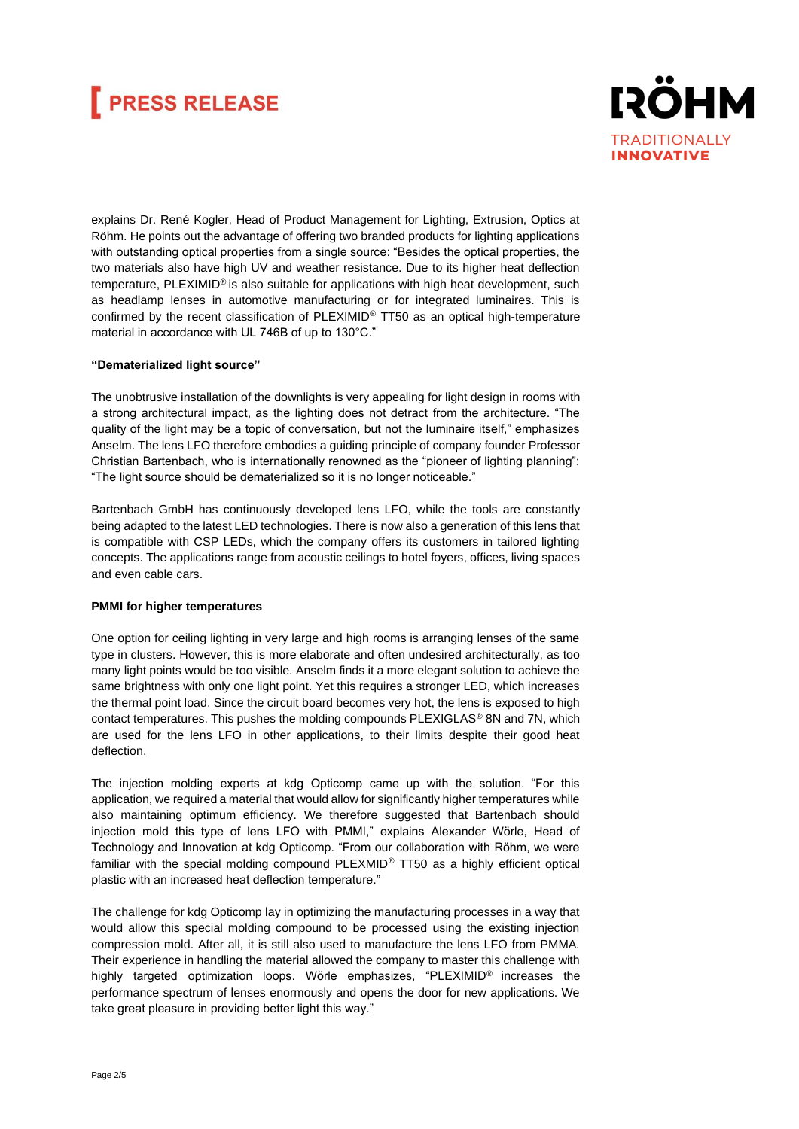## **FRESS RELEASE**



explains Dr. René Kogler, Head of Product Management for Lighting, Extrusion, Optics at Röhm. He points out the advantage of offering two branded products for lighting applications with outstanding optical properties from a single source: "Besides the optical properties, the two materials also have high UV and weather resistance. Due to its higher heat deflection temperature, PLEXIMID® is also suitable for applications with high heat development, such as headlamp lenses in automotive manufacturing or for integrated luminaires. This is confirmed by the recent classification of PLEXIMID® TT50 as an optical high-temperature material in accordance with UL 746B of up to 130°C."

#### **"Dematerialized light source"**

The unobtrusive installation of the downlights is very appealing for light design in rooms with a strong architectural impact, as the lighting does not detract from the architecture. "The quality of the light may be a topic of conversation, but not the luminaire itself," emphasizes Anselm. The lens LFO therefore embodies a guiding principle of company founder Professor Christian Bartenbach, who is internationally renowned as the "pioneer of lighting planning": "The light source should be dematerialized so it is no longer noticeable."

Bartenbach GmbH has continuously developed lens LFO, while the tools are constantly being adapted to the latest LED technologies. There is now also a generation of this lens that is compatible with CSP LEDs, which the company offers its customers in tailored lighting concepts. The applications range from acoustic ceilings to hotel foyers, offices, living spaces and even cable cars.

#### **PMMI for higher temperatures**

One option for ceiling lighting in very large and high rooms is arranging lenses of the same type in clusters. However, this is more elaborate and often undesired architecturally, as too many light points would be too visible. Anselm finds it a more elegant solution to achieve the same brightness with only one light point. Yet this requires a stronger LED, which increases the thermal point load. Since the circuit board becomes very hot, the lens is exposed to high contact temperatures. This pushes the molding compounds PLEXIGLAS® 8N and 7N, which are used for the lens LFO in other applications, to their limits despite their good heat deflection.

The injection molding experts at kdg Opticomp came up with the solution. "For this application, we required a material that would allow for significantly higher temperatures while also maintaining optimum efficiency. We therefore suggested that Bartenbach should injection mold this type of lens LFO with PMMI," explains Alexander Wörle, Head of Technology and Innovation at kdg Opticomp. "From our collaboration with Röhm, we were familiar with the special molding compound PLEXMID® TT50 as a highly efficient optical plastic with an increased heat deflection temperature."

The challenge for kdg Opticomp lay in optimizing the manufacturing processes in a way that would allow this special molding compound to be processed using the existing injection compression mold. After all, it is still also used to manufacture the lens LFO from PMMA. Their experience in handling the material allowed the company to master this challenge with highly targeted optimization loops. Wörle emphasizes, "PLEXIMID® increases the performance spectrum of lenses enormously and opens the door for new applications. We take great pleasure in providing better light this way."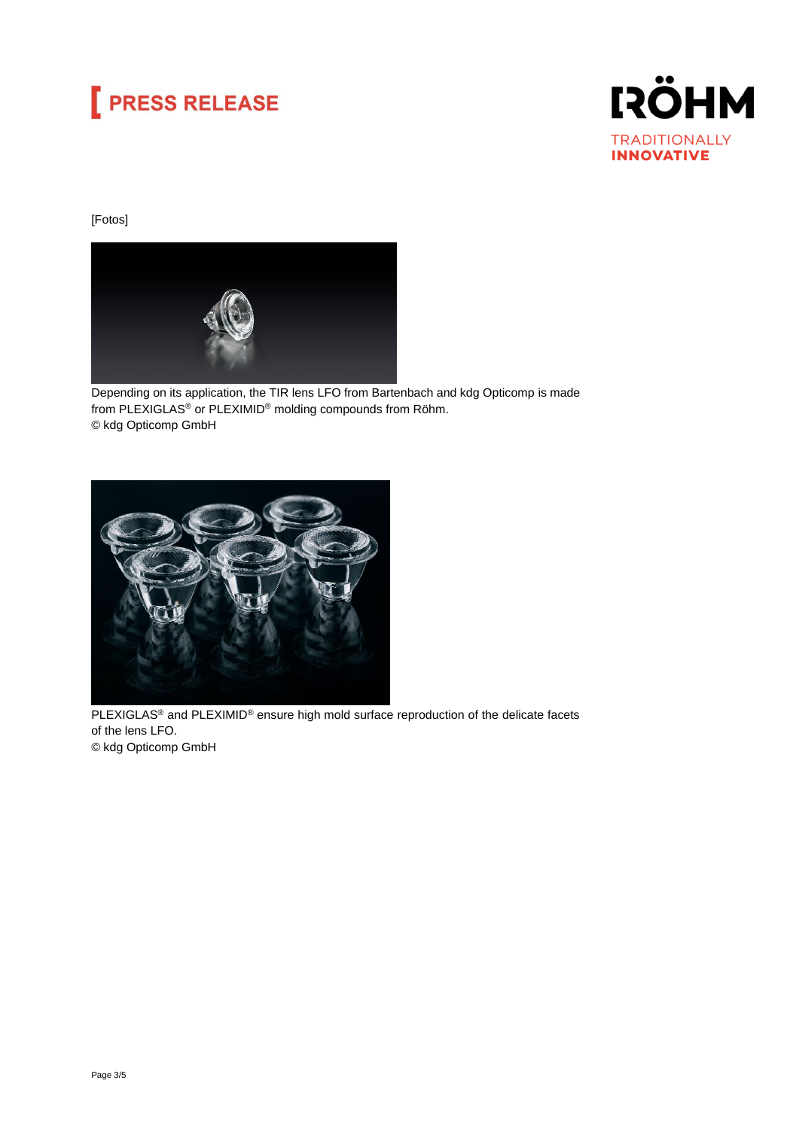# **PRESS RELEASE**



### [Fotos]



Depending on its application, the TIR lens LFO from Bartenbach and kdg Opticomp is made from PLEXIGLAS® or PLEXIMID® molding compounds from Röhm. © kdg Opticomp GmbH



PLEXIGLAS<sup>®</sup> and PLEXIMID<sup>®</sup> ensure high mold surface reproduction of the delicate facets of the lens LFO. © kdg Opticomp GmbH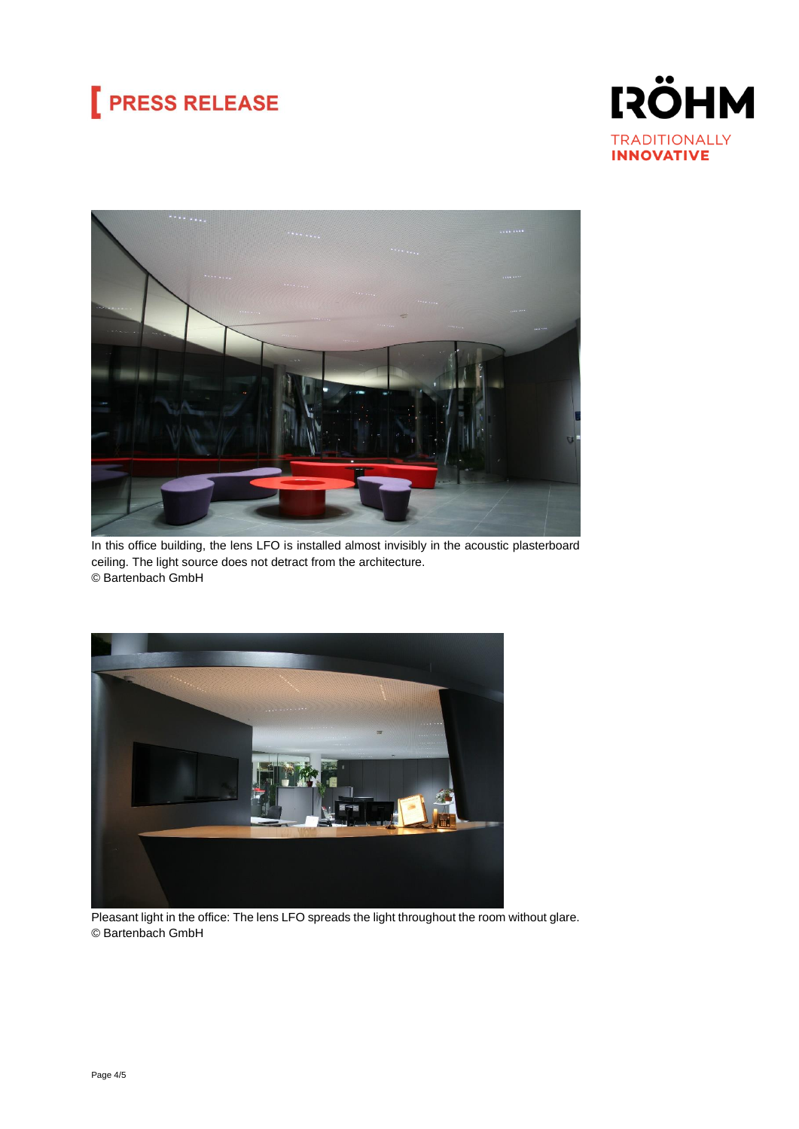# **PRESS RELEASE**





In this office building, the lens LFO is installed almost invisibly in the acoustic plasterboard ceiling. The light source does not detract from the architecture. © Bartenbach GmbH



Pleasant light in the office: The lens LFO spreads the light throughout the room without glare. © Bartenbach GmbH